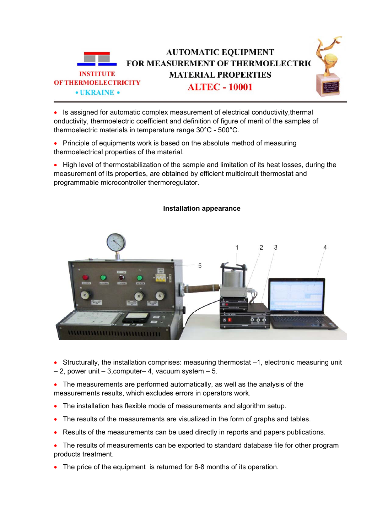

• Is assigned for automatic complex measurement of electrical conductivity,thermal onductivity, thermoelectric coefficient and definition of figure of merit of the samples of thermoelectric materials in temperature range 30°C - 500°C.

- Principle of equipments work is based on the absolute method of measuring thermoelectrical properties of the material.
- High level of thermostabilization of the sample and limitation of its heat losses, during the measurement of its properties, are obtained by efficient multicircuit thermostat and programmable microcontroller thermoregulator.



## **Installation appearance**

• Structurally, the installation comprises: measuring thermostat –1, electronic measuring unit  $-2$ , power unit  $-3$ , computer– 4, vacuum system  $-5$ .

• The measurements are performed automatically, as well as the analysis of the measurements results, which excludes errors in operators work.

- The installation has flexible mode of measurements and algorithm setup.
- The results of the measurements are visualized in the form of graphs and tables.
- Results of the measurements can be used directly in reports and papers publications.
- The results of measurements can be exported to standard database file for other program products treatment.
- The price of the equipment is returned for 6-8 months of its operation.